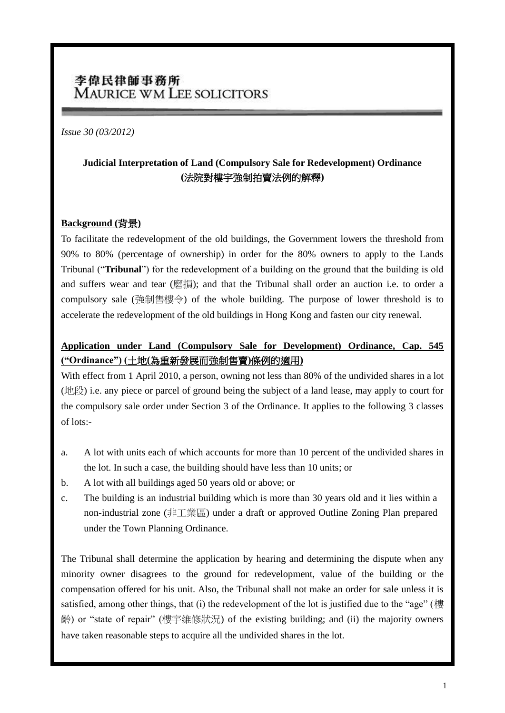# 李偉民律師事務所 **MAURICE WM LEE SOLICITORS**

#### *Issue 30 (03/2012)*

## **Judicial Interpretation of Land (Compulsory Sale for Redevelopment) Ordinance (**法院對樓宇強制拍賣法例的解釋**)**

#### **Background (**背景**)**

To facilitate the redevelopment of the old buildings, the Government lowers the threshold from 90% to 80% (percentage of ownership) in order for the 80% owners to apply to the Lands Tribunal ("**Tribunal**") for the redevelopment of a building on the ground that the building is old and suffers wear and tear (磨損); and that the Tribunal shall order an auction i.e. to order a compulsory sale (強制售樓令) of the whole building. The purpose of lower threshold is to accelerate the redevelopment of the old buildings in Hong Kong and fasten our city renewal.

## **Application under Land (Compulsory Sale for Development) Ordinance, Cap. 545 ("Ordinance") (**土地**(**為重新發展而強制售賣**)**條例的適用**)**

With effect from 1 April 2010, a person, owning not less than 80% of the undivided shares in a lot (地段) i.e. any piece or parcel of ground being the subject of a land lease, may apply to court for the compulsory sale order under Section 3 of the Ordinance. It applies to the following 3 classes of lots:-

- a. A lot with units each of which accounts for more than 10 percent of the undivided shares in the lot. In such a case, the building should have less than 10 units; or
- b. A lot with all buildings aged 50 years old or above; or
- c. The building is an industrial building which is more than 30 years old and it lies within a non-industrial zone (非工業區) under a draft or approved Outline Zoning Plan prepared under the Town Planning Ordinance.

The Tribunal shall determine the application by hearing and determining the dispute when any minority owner disagrees to the ground for redevelopment, value of the building or the compensation offered for his unit. Also, the Tribunal shall not make an order for sale unless it is satisfied, among other things, that (i) the redevelopment of the lot is justified due to the "age" (樓 齡) or "state of repair" (樓宇維修狀況) of the existing building; and (ii) the majority owners have taken reasonable steps to acquire all the undivided shares in the lot.

l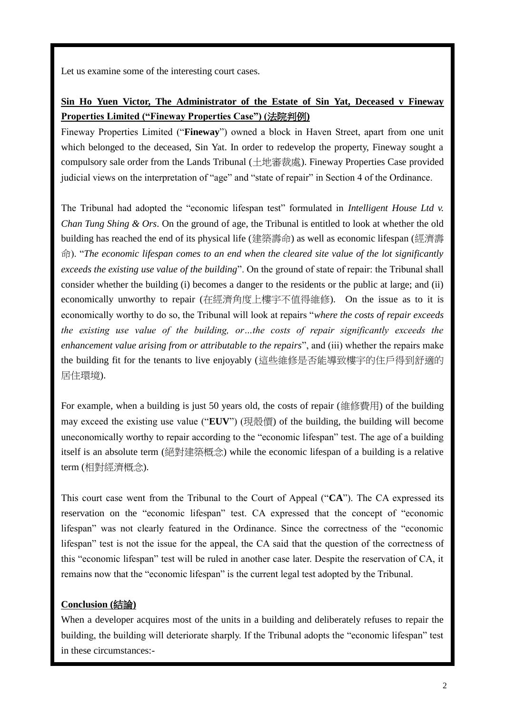Let us examine some of the interesting court cases.

## **Sin Ho Yuen Victor, The Administrator of the Estate of Sin Yat, Deceased v Fineway Properties Limited ("Fineway Properties Case") (**法院判例**)**

Fineway Properties Limited ("**Fineway**") owned a block in Haven Street, apart from one unit which belonged to the deceased, Sin Yat. In order to redevelop the property, Fineway sought a compulsory sale order from the Lands Tribunal (土地審裁處). Fineway Properties Case provided judicial views on the interpretation of "age" and "state of repair" in Section 4 of the Ordinance.

The Tribunal had adopted the "economic lifespan test" formulated in *Intelligent House Ltd v. Chan Tung Shing & Ors*. On the ground of age, the Tribunal is entitled to look at whether the old building has reached the end of its physical life (建築壽命) as well as economic lifespan (經濟壽 命). "*The economic lifespan comes to an end when the cleared site value of the lot significantly exceeds the existing use value of the building*". On the ground of state of repair: the Tribunal shall consider whether the building (i) becomes a danger to the residents or the public at large; and (ii) economically unworthy to repair (在經濟角度上樓宇不值得維修). On the issue as to it is economically worthy to do so, the Tribunal will look at repairs "*where the costs of repair exceeds the existing use value of the building, or…the costs of repair significantly exceeds the enhancement value arising from or attributable to the repairs*", and (iii) whether the repairs make the building fit for the tenants to live enjoyably (這些維修是否能導致樓宇的住戶得到舒適的 居住環境).

For example, when a building is just 50 years old, the costs of repair (維修費用) of the building may exceed the existing use value ("**EUV**") (現殼價) of the building, the building will become uneconomically worthy to repair according to the "economic lifespan" test. The age of a building itself is an absolute term (絕對建築概念) while the economic lifespan of a building is a relative term (相對經濟概念).

This court case went from the Tribunal to the Court of Appeal ("**CA**"). The CA expressed its reservation on the "economic lifespan" test. CA expressed that the concept of "economic lifespan" was not clearly featured in the Ordinance. Since the correctness of the "economic lifespan" test is not the issue for the appeal, the CA said that the question of the correctness of this "economic lifespan" test will be ruled in another case later. Despite the reservation of CA, it remains now that the "economic lifespan" is the current legal test adopted by the Tribunal.

### **Conclusion (**結論**)**

When a developer acquires most of the units in a building and deliberately refuses to repair the building, the building will deteriorate sharply. If the Tribunal adopts the "economic lifespan" test in these circumstances:-

l